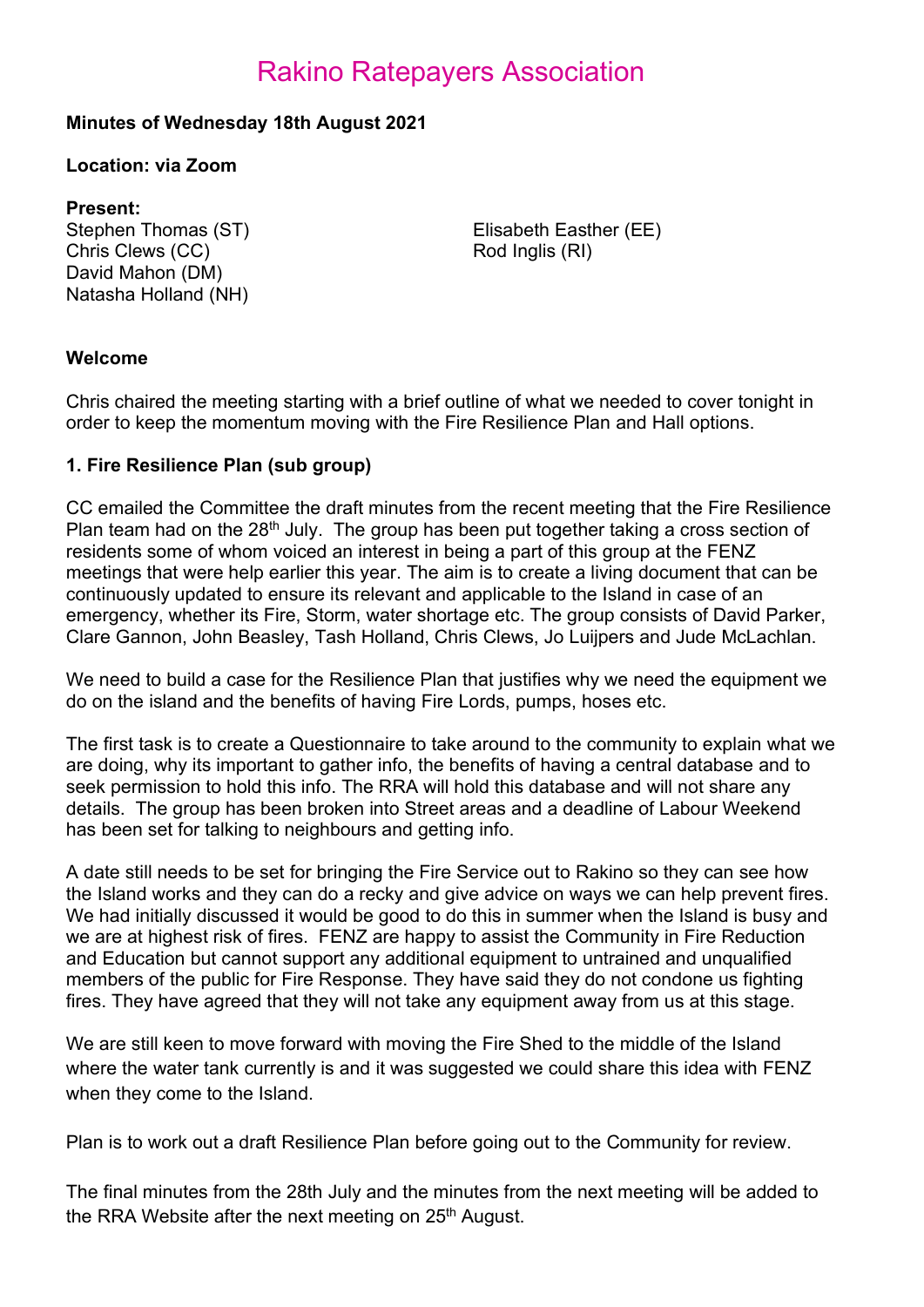## Rakino Ratepayers Association

## Minutes of Wednesday 18th August 2021

### Location: via Zoom

### Present:

Chris Clews (CC) David Mahon (DM) Natasha Holland (NH)

Stephen Thomas (ST) Elisabeth Easther (EE) Rod Inglis (RI)

### Welcome

Chris chaired the meeting starting with a brief outline of what we needed to cover tonight in order to keep the momentum moving with the Fire Resilience Plan and Hall options.

### 1. Fire Resilience Plan (sub group)

CC emailed the Committee the draft minutes from the recent meeting that the Fire Resilience Plan team had on the 28<sup>th</sup> July. The group has been put together taking a cross section of residents some of whom voiced an interest in being a part of this group at the FENZ meetings that were help earlier this year. The aim is to create a living document that can be continuously updated to ensure its relevant and applicable to the Island in case of an emergency, whether its Fire, Storm, water shortage etc. The group consists of David Parker, Clare Gannon, John Beasley, Tash Holland, Chris Clews, Jo Luijpers and Jude McLachlan.

We need to build a case for the Resilience Plan that justifies why we need the equipment we do on the island and the benefits of having Fire Lords, pumps, hoses etc.

The first task is to create a Questionnaire to take around to the community to explain what we are doing, why its important to gather info, the benefits of having a central database and to seek permission to hold this info. The RRA will hold this database and will not share any details. The group has been broken into Street areas and a deadline of Labour Weekend has been set for talking to neighbours and getting info.

A date still needs to be set for bringing the Fire Service out to Rakino so they can see how the Island works and they can do a recky and give advice on ways we can help prevent fires. We had initially discussed it would be good to do this in summer when the Island is busy and we are at highest risk of fires. FENZ are happy to assist the Community in Fire Reduction and Education but cannot support any additional equipment to untrained and unqualified members of the public for Fire Response. They have said they do not condone us fighting fires. They have agreed that they will not take any equipment away from us at this stage.

We are still keen to move forward with moving the Fire Shed to the middle of the Island where the water tank currently is and it was suggested we could share this idea with FENZ when they come to the Island.

Plan is to work out a draft Resilience Plan before going out to the Community for review.

The final minutes from the 28th July and the minutes from the next meeting will be added to the RRA Website after the next meeting on 25<sup>th</sup> August.